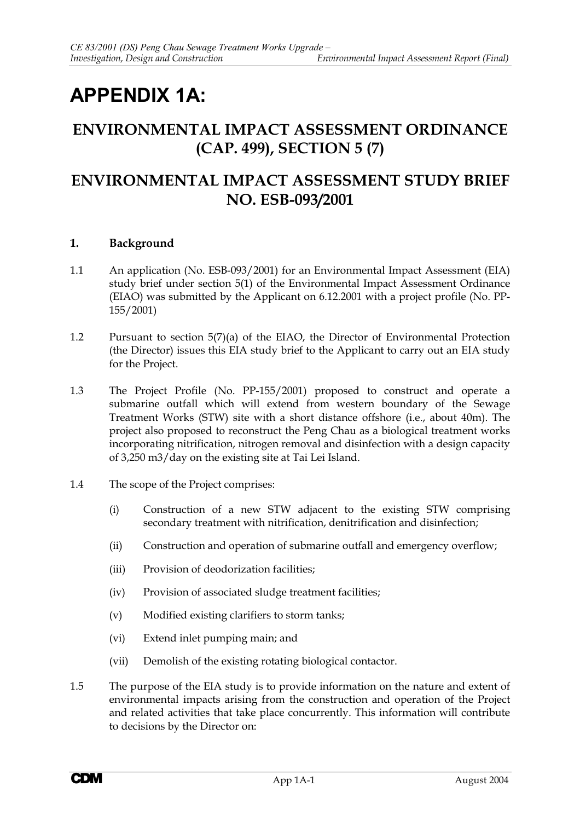# **APPENDIX 1A:**

# **ENVIRONMENTAL IMPACT ASSESSMENT ORDINANCE (CAP. 499), SECTION 5 (7)**

# **ENVIRONMENTAL IMPACT ASSESSMENT STUDY BRIEF NO. ESB-093/2001**

# **1. Background**

- 1.1 An application (No. ESB-093/2001) for an Environmental Impact Assessment (EIA) study brief under section 5(1) of the Environmental Impact Assessment Ordinance (EIAO) was submitted by the Applicant on 6.12.2001 with a project profile (No. PP-155/2001)
- 1.2 Pursuant to section 5(7)(a) of the EIAO, the Director of Environmental Protection (the Director) issues this EIA study brief to the Applicant to carry out an EIA study for the Project.
- 1.3 The Project Profile (No. PP-155/2001) proposed to construct and operate a submarine outfall which will extend from western boundary of the Sewage Treatment Works (STW) site with a short distance offshore (i.e., about 40m). The project also proposed to reconstruct the Peng Chau as a biological treatment works incorporating nitrification, nitrogen removal and disinfection with a design capacity of 3,250 m3/day on the existing site at Tai Lei Island.
- 1.4 The scope of the Project comprises:
	- (i) Construction of a new STW adjacent to the existing STW comprising secondary treatment with nitrification, denitrification and disinfection;
	- (ii) Construction and operation of submarine outfall and emergency overflow;
	- (iii) Provision of deodorization facilities;
	- (iv) Provision of associated sludge treatment facilities;
	- (v) Modified existing clarifiers to storm tanks;
	- (vi) Extend inlet pumping main; and
	- (vii) Demolish of the existing rotating biological contactor.
- 1.5 The purpose of the EIA study is to provide information on the nature and extent of environmental impacts arising from the construction and operation of the Project and related activities that take place concurrently. This information will contribute to decisions by the Director on: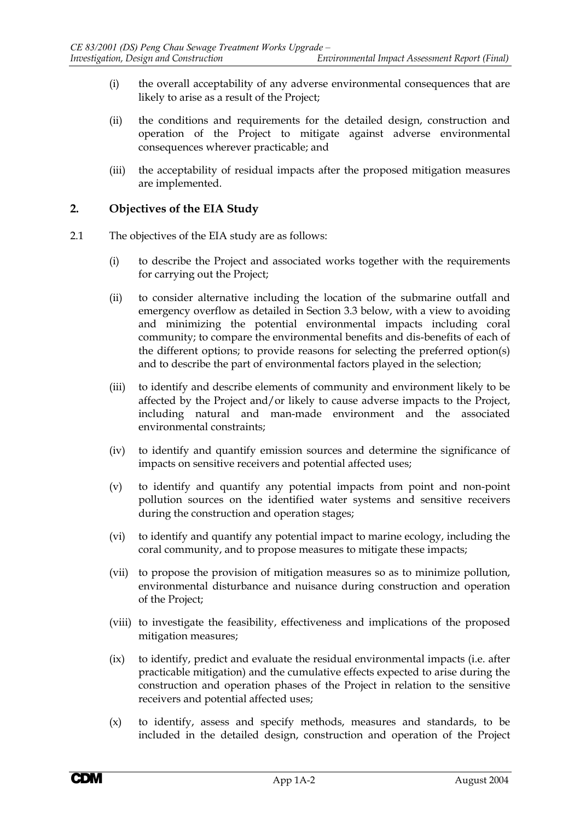- (i) the overall acceptability of any adverse environmental consequences that are likely to arise as a result of the Project;
- (ii) the conditions and requirements for the detailed design, construction and operation of the Project to mitigate against adverse environmental consequences wherever practicable; and
- (iii) the acceptability of residual impacts after the proposed mitigation measures are implemented.

# **2. Objectives of the EIA Study**

- 2.1 The objectives of the EIA study are as follows:
	- (i) to describe the Project and associated works together with the requirements for carrying out the Project;
	- (ii) to consider alternative including the location of the submarine outfall and emergency overflow as detailed in Section 3.3 below, with a view to avoiding and minimizing the potential environmental impacts including coral community; to compare the environmental benefits and dis-benefits of each of the different options; to provide reasons for selecting the preferred option(s) and to describe the part of environmental factors played in the selection;
	- (iii) to identify and describe elements of community and environment likely to be affected by the Project and/or likely to cause adverse impacts to the Project, including natural and man-made environment and the associated environmental constraints;
	- (iv) to identify and quantify emission sources and determine the significance of impacts on sensitive receivers and potential affected uses;
	- (v) to identify and quantify any potential impacts from point and non-point pollution sources on the identified water systems and sensitive receivers during the construction and operation stages;
	- (vi) to identify and quantify any potential impact to marine ecology, including the coral community, and to propose measures to mitigate these impacts;
	- (vii) to propose the provision of mitigation measures so as to minimize pollution, environmental disturbance and nuisance during construction and operation of the Project;
	- (viii) to investigate the feasibility, effectiveness and implications of the proposed mitigation measures;
	- (ix) to identify, predict and evaluate the residual environmental impacts (i.e. after practicable mitigation) and the cumulative effects expected to arise during the construction and operation phases of the Project in relation to the sensitive receivers and potential affected uses;
	- (x) to identify, assess and specify methods, measures and standards, to be included in the detailed design, construction and operation of the Project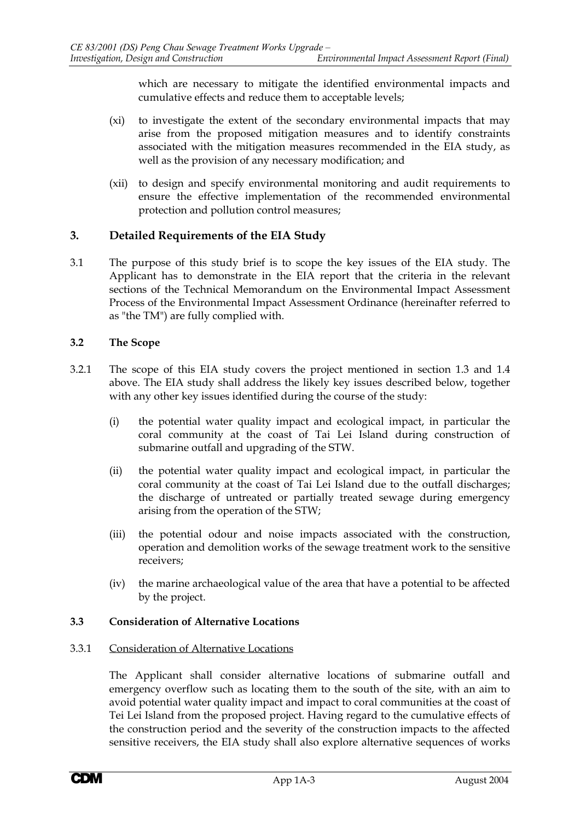which are necessary to mitigate the identified environmental impacts and cumulative effects and reduce them to acceptable levels;

- (xi) to investigate the extent of the secondary environmental impacts that may arise from the proposed mitigation measures and to identify constraints associated with the mitigation measures recommended in the EIA study, as well as the provision of any necessary modification; and
- (xii) to design and specify environmental monitoring and audit requirements to ensure the effective implementation of the recommended environmental protection and pollution control measures;

# **3. Detailed Requirements of the EIA Study**

3.1 The purpose of this study brief is to scope the key issues of the EIA study. The Applicant has to demonstrate in the EIA report that the criteria in the relevant sections of the Technical Memorandum on the Environmental Impact Assessment Process of the Environmental Impact Assessment Ordinance (hereinafter referred to as "the TM") are fully complied with.

### **3.2 The Scope**

- 3.2.1 The scope of this EIA study covers the project mentioned in section 1.3 and 1.4 above. The EIA study shall address the likely key issues described below, together with any other key issues identified during the course of the study:
	- (i) the potential water quality impact and ecological impact, in particular the coral community at the coast of Tai Lei Island during construction of submarine outfall and upgrading of the STW.
	- (ii) the potential water quality impact and ecological impact, in particular the coral community at the coast of Tai Lei Island due to the outfall discharges; the discharge of untreated or partially treated sewage during emergency arising from the operation of the STW;
	- (iii) the potential odour and noise impacts associated with the construction, operation and demolition works of the sewage treatment work to the sensitive receivers;
	- (iv) the marine archaeological value of the area that have a potential to be affected by the project.

#### **3.3 Consideration of Alternative Locations**

#### 3.3.1 Consideration of Alternative Locations

The Applicant shall consider alternative locations of submarine outfall and emergency overflow such as locating them to the south of the site, with an aim to avoid potential water quality impact and impact to coral communities at the coast of Tei Lei Island from the proposed project. Having regard to the cumulative effects of the construction period and the severity of the construction impacts to the affected sensitive receivers, the EIA study shall also explore alternative sequences of works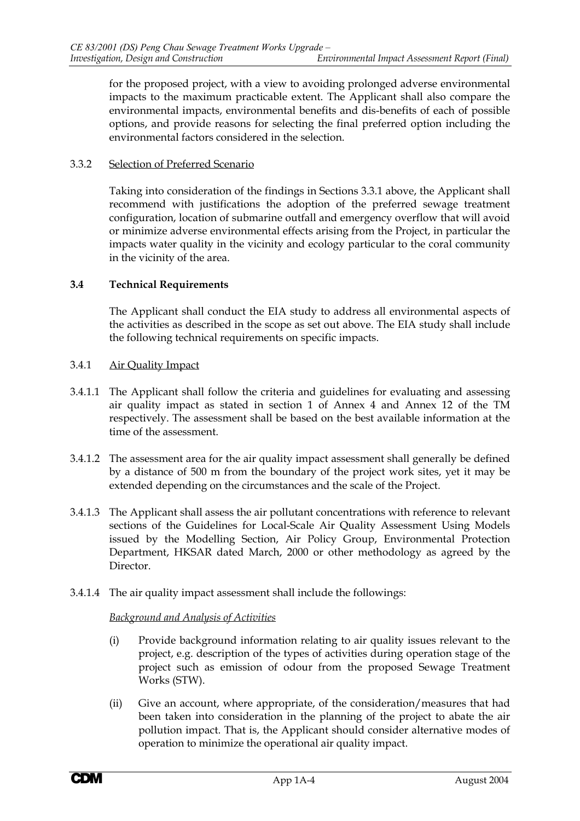for the proposed project, with a view to avoiding prolonged adverse environmental impacts to the maximum practicable extent. The Applicant shall also compare the environmental impacts, environmental benefits and dis-benefits of each of possible options, and provide reasons for selecting the final preferred option including the environmental factors considered in the selection.

### 3.3.2 Selection of Preferred Scenario

Taking into consideration of the findings in Sections 3.3.1 above, the Applicant shall recommend with justifications the adoption of the preferred sewage treatment configuration, location of submarine outfall and emergency overflow that will avoid or minimize adverse environmental effects arising from the Project, in particular the impacts water quality in the vicinity and ecology particular to the coral community in the vicinity of the area.

### **3.4 Technical Requirements**

The Applicant shall conduct the EIA study to address all environmental aspects of the activities as described in the scope as set out above. The EIA study shall include the following technical requirements on specific impacts.

### 3.4.1 Air Quality Impact

- 3.4.1.1 The Applicant shall follow the criteria and guidelines for evaluating and assessing air quality impact as stated in section 1 of Annex 4 and Annex 12 of the TM respectively. The assessment shall be based on the best available information at the time of the assessment.
- 3.4.1.2 The assessment area for the air quality impact assessment shall generally be defined by a distance of 500 m from the boundary of the project work sites, yet it may be extended depending on the circumstances and the scale of the Project.
- 3.4.1.3 The Applicant shall assess the air pollutant concentrations with reference to relevant sections of the Guidelines for Local-Scale Air Quality Assessment Using Models issued by the Modelling Section, Air Policy Group, Environmental Protection Department, HKSAR dated March, 2000 or other methodology as agreed by the Director.
- 3.4.1.4 The air quality impact assessment shall include the followings:

#### *Background and Analysis of Activities*

- (i) Provide background information relating to air quality issues relevant to the project, e.g. description of the types of activities during operation stage of the project such as emission of odour from the proposed Sewage Treatment Works (STW).
- (ii) Give an account, where appropriate, of the consideration/measures that had been taken into consideration in the planning of the project to abate the air pollution impact. That is, the Applicant should consider alternative modes of operation to minimize the operational air quality impact.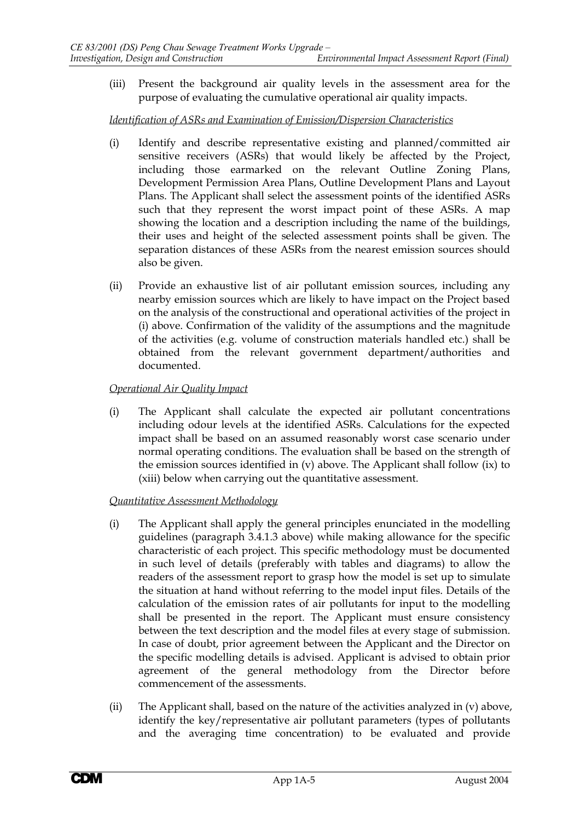(iii) Present the background air quality levels in the assessment area for the purpose of evaluating the cumulative operational air quality impacts.

#### *Identification of ASRs and Examination of Emission/Dispersion Characteristics*

- (i) Identify and describe representative existing and planned/committed air sensitive receivers (ASRs) that would likely be affected by the Project, including those earmarked on the relevant Outline Zoning Plans, Development Permission Area Plans, Outline Development Plans and Layout Plans. The Applicant shall select the assessment points of the identified ASRs such that they represent the worst impact point of these ASRs. A map showing the location and a description including the name of the buildings, their uses and height of the selected assessment points shall be given. The separation distances of these ASRs from the nearest emission sources should also be given.
- (ii) Provide an exhaustive list of air pollutant emission sources, including any nearby emission sources which are likely to have impact on the Project based on the analysis of the constructional and operational activities of the project in (i) above. Confirmation of the validity of the assumptions and the magnitude of the activities (e.g. volume of construction materials handled etc.) shall be obtained from the relevant government department/authorities and documented.

*Operational Air Quality Impact*

(i) The Applicant shall calculate the expected air pollutant concentrations including odour levels at the identified ASRs. Calculations for the expected impact shall be based on an assumed reasonably worst case scenario under normal operating conditions. The evaluation shall be based on the strength of the emission sources identified in (v) above. The Applicant shall follow (ix) to (xiii) below when carrying out the quantitative assessment.

# *Quantitative Assessment Methodology*

- (i) The Applicant shall apply the general principles enunciated in the modelling guidelines (paragraph 3.4.1.3 above) while making allowance for the specific characteristic of each project. This specific methodology must be documented in such level of details (preferably with tables and diagrams) to allow the readers of the assessment report to grasp how the model is set up to simulate the situation at hand without referring to the model input files. Details of the calculation of the emission rates of air pollutants for input to the modelling shall be presented in the report. The Applicant must ensure consistency between the text description and the model files at every stage of submission. In case of doubt, prior agreement between the Applicant and the Director on the specific modelling details is advised. Applicant is advised to obtain prior agreement of the general methodology from the Director before commencement of the assessments.
- (ii) The Applicant shall, based on the nature of the activities analyzed in (v) above, identify the key/representative air pollutant parameters (types of pollutants and the averaging time concentration) to be evaluated and provide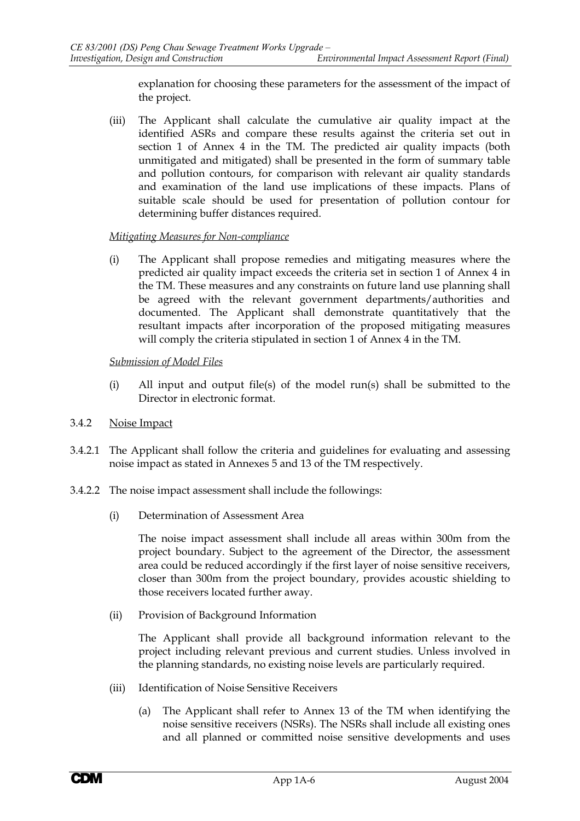explanation for choosing these parameters for the assessment of the impact of the project.

(iii) The Applicant shall calculate the cumulative air quality impact at the identified ASRs and compare these results against the criteria set out in section 1 of Annex 4 in the TM. The predicted air quality impacts (both unmitigated and mitigated) shall be presented in the form of summary table and pollution contours, for comparison with relevant air quality standards and examination of the land use implications of these impacts. Plans of suitable scale should be used for presentation of pollution contour for determining buffer distances required.

#### *Mitigating Measures for Non-compliance*

(i) The Applicant shall propose remedies and mitigating measures where the predicted air quality impact exceeds the criteria set in section 1 of Annex 4 in the TM. These measures and any constraints on future land use planning shall be agreed with the relevant government departments/authorities and documented. The Applicant shall demonstrate quantitatively that the resultant impacts after incorporation of the proposed mitigating measures will comply the criteria stipulated in section 1 of Annex 4 in the TM.

#### *Submission of Model Files*

(i) All input and output file(s) of the model run(s) shall be submitted to the Director in electronic format.

#### 3.4.2 Noise Impact

- 3.4.2.1 The Applicant shall follow the criteria and guidelines for evaluating and assessing noise impact as stated in Annexes 5 and 13 of the TM respectively.
- 3.4.2.2 The noise impact assessment shall include the followings:
	- (i) Determination of Assessment Area

The noise impact assessment shall include all areas within 300m from the project boundary. Subject to the agreement of the Director, the assessment area could be reduced accordingly if the first layer of noise sensitive receivers, closer than 300m from the project boundary, provides acoustic shielding to those receivers located further away.

(ii) Provision of Background Information

The Applicant shall provide all background information relevant to the project including relevant previous and current studies. Unless involved in the planning standards, no existing noise levels are particularly required.

- (iii) Identification of Noise Sensitive Receivers
	- (a) The Applicant shall refer to Annex 13 of the TM when identifying the noise sensitive receivers (NSRs). The NSRs shall include all existing ones and all planned or committed noise sensitive developments and uses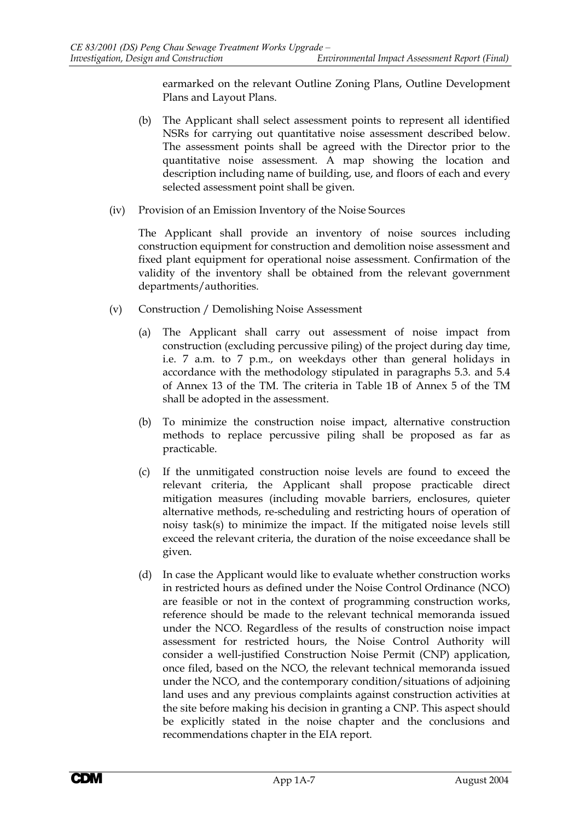earmarked on the relevant Outline Zoning Plans, Outline Development Plans and Layout Plans.

- (b) The Applicant shall select assessment points to represent all identified NSRs for carrying out quantitative noise assessment described below. The assessment points shall be agreed with the Director prior to the quantitative noise assessment. A map showing the location and description including name of building, use, and floors of each and every selected assessment point shall be given.
- (iv) Provision of an Emission Inventory of the Noise Sources

The Applicant shall provide an inventory of noise sources including construction equipment for construction and demolition noise assessment and fixed plant equipment for operational noise assessment. Confirmation of the validity of the inventory shall be obtained from the relevant government departments/authorities.

- (v) Construction / Demolishing Noise Assessment
	- (a) The Applicant shall carry out assessment of noise impact from construction (excluding percussive piling) of the project during day time, i.e. 7 a.m. to 7 p.m., on weekdays other than general holidays in accordance with the methodology stipulated in paragraphs 5.3. and 5.4 of Annex 13 of the TM. The criteria in Table 1B of Annex 5 of the TM shall be adopted in the assessment.
	- (b) To minimize the construction noise impact, alternative construction methods to replace percussive piling shall be proposed as far as practicable.
	- (c) If the unmitigated construction noise levels are found to exceed the relevant criteria, the Applicant shall propose practicable direct mitigation measures (including movable barriers, enclosures, quieter alternative methods, re-scheduling and restricting hours of operation of noisy task(s) to minimize the impact. If the mitigated noise levels still exceed the relevant criteria, the duration of the noise exceedance shall be given.
	- (d) In case the Applicant would like to evaluate whether construction works in restricted hours as defined under the Noise Control Ordinance (NCO) are feasible or not in the context of programming construction works, reference should be made to the relevant technical memoranda issued under the NCO. Regardless of the results of construction noise impact assessment for restricted hours, the Noise Control Authority will consider a well-justified Construction Noise Permit (CNP) application, once filed, based on the NCO, the relevant technical memoranda issued under the NCO, and the contemporary condition/situations of adjoining land uses and any previous complaints against construction activities at the site before making his decision in granting a CNP. This aspect should be explicitly stated in the noise chapter and the conclusions and recommendations chapter in the EIA report.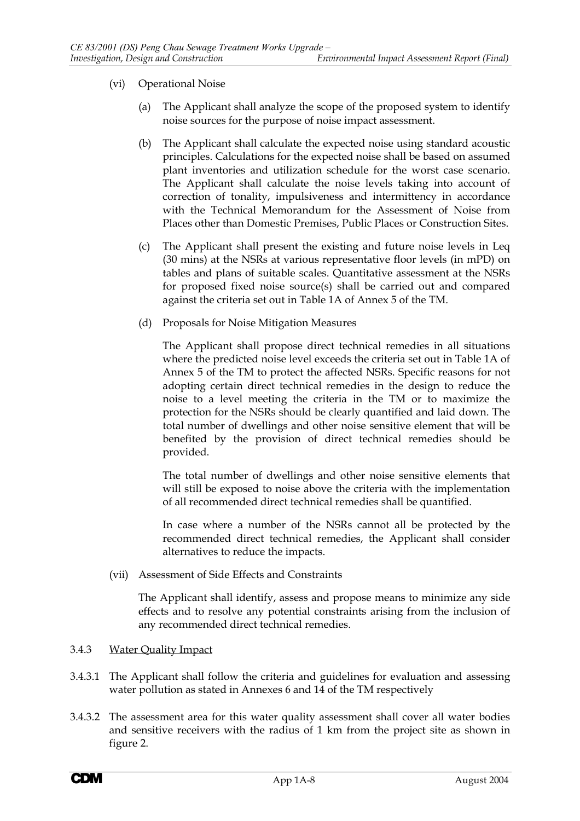# (vi) Operational Noise

- (a) The Applicant shall analyze the scope of the proposed system to identify noise sources for the purpose of noise impact assessment.
- (b) The Applicant shall calculate the expected noise using standard acoustic principles. Calculations for the expected noise shall be based on assumed plant inventories and utilization schedule for the worst case scenario. The Applicant shall calculate the noise levels taking into account of correction of tonality, impulsiveness and intermittency in accordance with the Technical Memorandum for the Assessment of Noise from Places other than Domestic Premises, Public Places or Construction Sites.
- (c) The Applicant shall present the existing and future noise levels in Leq (30 mins) at the NSRs at various representative floor levels (in mPD) on tables and plans of suitable scales. Quantitative assessment at the NSRs for proposed fixed noise source(s) shall be carried out and compared against the criteria set out in Table 1A of Annex 5 of the TM.
- (d) Proposals for Noise Mitigation Measures

The Applicant shall propose direct technical remedies in all situations where the predicted noise level exceeds the criteria set out in Table 1A of Annex 5 of the TM to protect the affected NSRs. Specific reasons for not adopting certain direct technical remedies in the design to reduce the noise to a level meeting the criteria in the TM or to maximize the protection for the NSRs should be clearly quantified and laid down. The total number of dwellings and other noise sensitive element that will be benefited by the provision of direct technical remedies should be provided.

The total number of dwellings and other noise sensitive elements that will still be exposed to noise above the criteria with the implementation of all recommended direct technical remedies shall be quantified.

In case where a number of the NSRs cannot all be protected by the recommended direct technical remedies, the Applicant shall consider alternatives to reduce the impacts.

(vii) Assessment of Side Effects and Constraints

The Applicant shall identify, assess and propose means to minimize any side effects and to resolve any potential constraints arising from the inclusion of any recommended direct technical remedies.

# 3.4.3 Water Quality Impact

- 3.4.3.1 The Applicant shall follow the criteria and guidelines for evaluation and assessing water pollution as stated in Annexes 6 and 14 of the TM respectively
- 3.4.3.2 The assessment area for this water quality assessment shall cover all water bodies and sensitive receivers with the radius of 1 km from the project site as shown in figure 2.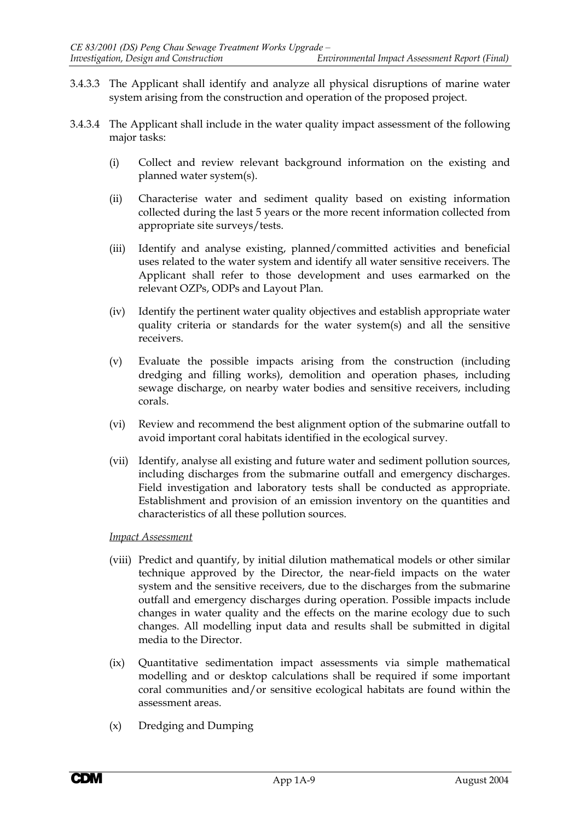- 3.4.3.3 The Applicant shall identify and analyze all physical disruptions of marine water system arising from the construction and operation of the proposed project.
- 3.4.3.4 The Applicant shall include in the water quality impact assessment of the following major tasks:
	- (i) Collect and review relevant background information on the existing and planned water system(s).
	- (ii) Characterise water and sediment quality based on existing information collected during the last 5 years or the more recent information collected from appropriate site surveys/tests.
	- (iii) Identify and analyse existing, planned/committed activities and beneficial uses related to the water system and identify all water sensitive receivers. The Applicant shall refer to those development and uses earmarked on the relevant OZPs, ODPs and Layout Plan.
	- (iv) Identify the pertinent water quality objectives and establish appropriate water quality criteria or standards for the water system(s) and all the sensitive receivers.
	- (v) Evaluate the possible impacts arising from the construction (including dredging and filling works), demolition and operation phases, including sewage discharge, on nearby water bodies and sensitive receivers, including corals.
	- (vi) Review and recommend the best alignment option of the submarine outfall to avoid important coral habitats identified in the ecological survey.
	- (vii) Identify, analyse all existing and future water and sediment pollution sources, including discharges from the submarine outfall and emergency discharges. Field investigation and laboratory tests shall be conducted as appropriate. Establishment and provision of an emission inventory on the quantities and characteristics of all these pollution sources.

*Impact Assessment*

- (viii) Predict and quantify, by initial dilution mathematical models or other similar technique approved by the Director, the near-field impacts on the water system and the sensitive receivers, due to the discharges from the submarine outfall and emergency discharges during operation. Possible impacts include changes in water quality and the effects on the marine ecology due to such changes. All modelling input data and results shall be submitted in digital media to the Director.
- (ix) Quantitative sedimentation impact assessments via simple mathematical modelling and or desktop calculations shall be required if some important coral communities and/or sensitive ecological habitats are found within the assessment areas.
- (x) Dredging and Dumping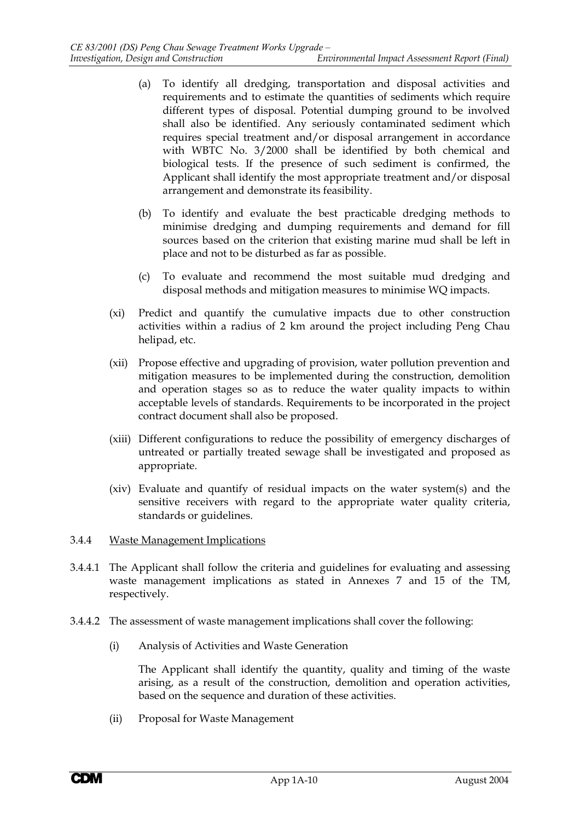- (a) To identify all dredging, transportation and disposal activities and requirements and to estimate the quantities of sediments which require different types of disposal. Potential dumping ground to be involved shall also be identified. Any seriously contaminated sediment which requires special treatment and/or disposal arrangement in accordance with WBTC No. 3/2000 shall be identified by both chemical and biological tests. If the presence of such sediment is confirmed, the Applicant shall identify the most appropriate treatment and/or disposal arrangement and demonstrate its feasibility.
- (b) To identify and evaluate the best practicable dredging methods to minimise dredging and dumping requirements and demand for fill sources based on the criterion that existing marine mud shall be left in place and not to be disturbed as far as possible.
- (c) To evaluate and recommend the most suitable mud dredging and disposal methods and mitigation measures to minimise WQ impacts.
- (xi) Predict and quantify the cumulative impacts due to other construction activities within a radius of 2 km around the project including Peng Chau helipad, etc.
- (xii) Propose effective and upgrading of provision, water pollution prevention and mitigation measures to be implemented during the construction, demolition and operation stages so as to reduce the water quality impacts to within acceptable levels of standards. Requirements to be incorporated in the project contract document shall also be proposed.
- (xiii) Different configurations to reduce the possibility of emergency discharges of untreated or partially treated sewage shall be investigated and proposed as appropriate.
- (xiv) Evaluate and quantify of residual impacts on the water system(s) and the sensitive receivers with regard to the appropriate water quality criteria, standards or guidelines.
- 3.4.4 Waste Management Implications
- 3.4.4.1 The Applicant shall follow the criteria and guidelines for evaluating and assessing waste management implications as stated in Annexes 7 and 15 of the TM, respectively.
- 3.4.4.2 The assessment of waste management implications shall cover the following:
	- (i) Analysis of Activities and Waste Generation

The Applicant shall identify the quantity, quality and timing of the waste arising, as a result of the construction, demolition and operation activities, based on the sequence and duration of these activities.

(ii) Proposal for Waste Management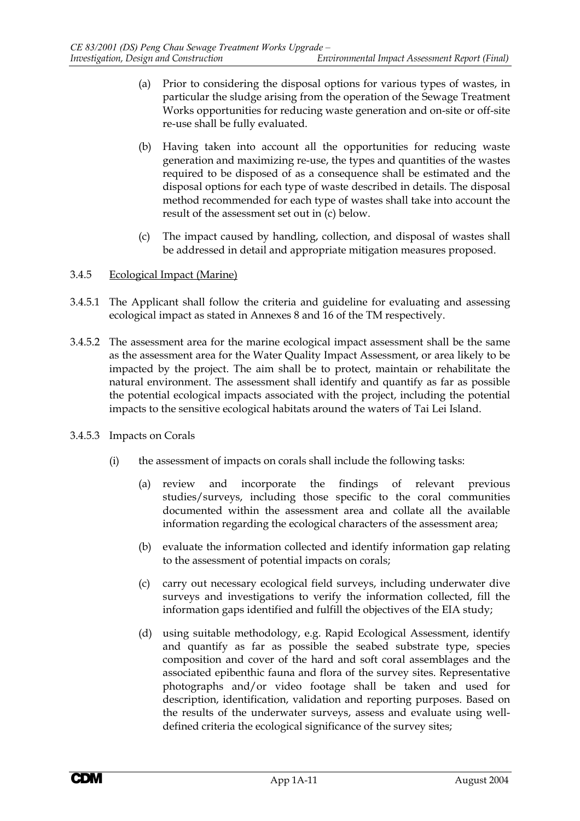- (a) Prior to considering the disposal options for various types of wastes, in particular the sludge arising from the operation of the Sewage Treatment Works opportunities for reducing waste generation and on-site or off-site re-use shall be fully evaluated.
- (b) Having taken into account all the opportunities for reducing waste generation and maximizing re-use, the types and quantities of the wastes required to be disposed of as a consequence shall be estimated and the disposal options for each type of waste described in details. The disposal method recommended for each type of wastes shall take into account the result of the assessment set out in (c) below.
- (c) The impact caused by handling, collection, and disposal of wastes shall be addressed in detail and appropriate mitigation measures proposed.
- 3.4.5 Ecological Impact (Marine)
- 3.4.5.1 The Applicant shall follow the criteria and guideline for evaluating and assessing ecological impact as stated in Annexes 8 and 16 of the TM respectively.
- 3.4.5.2 The assessment area for the marine ecological impact assessment shall be the same as the assessment area for the Water Quality Impact Assessment, or area likely to be impacted by the project. The aim shall be to protect, maintain or rehabilitate the natural environment. The assessment shall identify and quantify as far as possible the potential ecological impacts associated with the project, including the potential impacts to the sensitive ecological habitats around the waters of Tai Lei Island.
- 3.4.5.3 Impacts on Corals
	- (i) the assessment of impacts on corals shall include the following tasks:
		- (a) review and incorporate the findings of relevant previous studies/surveys, including those specific to the coral communities documented within the assessment area and collate all the available information regarding the ecological characters of the assessment area;
		- (b) evaluate the information collected and identify information gap relating to the assessment of potential impacts on corals;
		- (c) carry out necessary ecological field surveys, including underwater dive surveys and investigations to verify the information collected, fill the information gaps identified and fulfill the objectives of the EIA study;
		- (d) using suitable methodology, e.g. Rapid Ecological Assessment, identify and quantify as far as possible the seabed substrate type, species composition and cover of the hard and soft coral assemblages and the associated epibenthic fauna and flora of the survey sites. Representative photographs and/or video footage shall be taken and used for description, identification, validation and reporting purposes. Based on the results of the underwater surveys, assess and evaluate using welldefined criteria the ecological significance of the survey sites;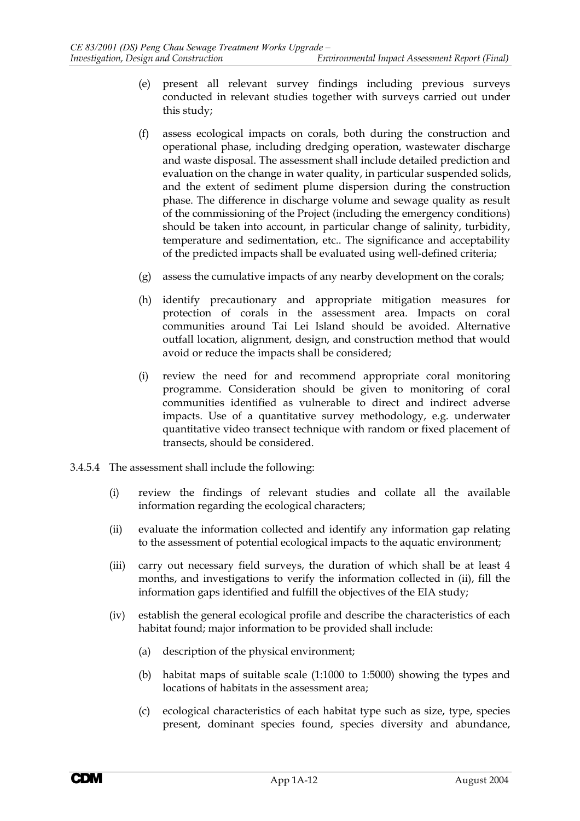- (e) present all relevant survey findings including previous surveys conducted in relevant studies together with surveys carried out under this study;
- (f) assess ecological impacts on corals, both during the construction and operational phase, including dredging operation, wastewater discharge and waste disposal. The assessment shall include detailed prediction and evaluation on the change in water quality, in particular suspended solids, and the extent of sediment plume dispersion during the construction phase. The difference in discharge volume and sewage quality as result of the commissioning of the Project (including the emergency conditions) should be taken into account, in particular change of salinity, turbidity, temperature and sedimentation, etc.. The significance and acceptability of the predicted impacts shall be evaluated using well-defined criteria;
- (g) assess the cumulative impacts of any nearby development on the corals;
- (h) identify precautionary and appropriate mitigation measures for protection of corals in the assessment area. Impacts on coral communities around Tai Lei Island should be avoided. Alternative outfall location, alignment, design, and construction method that would avoid or reduce the impacts shall be considered;
- (i) review the need for and recommend appropriate coral monitoring programme. Consideration should be given to monitoring of coral communities identified as vulnerable to direct and indirect adverse impacts. Use of a quantitative survey methodology, e.g. underwater quantitative video transect technique with random or fixed placement of transects, should be considered.
- 3.4.5.4 The assessment shall include the following:
	- (i) review the findings of relevant studies and collate all the available information regarding the ecological characters;
	- (ii) evaluate the information collected and identify any information gap relating to the assessment of potential ecological impacts to the aquatic environment;
	- (iii) carry out necessary field surveys, the duration of which shall be at least 4 months, and investigations to verify the information collected in (ii), fill the information gaps identified and fulfill the objectives of the EIA study;
	- (iv) establish the general ecological profile and describe the characteristics of each habitat found; major information to be provided shall include:
		- (a) description of the physical environment;
		- (b) habitat maps of suitable scale (1:1000 to 1:5000) showing the types and locations of habitats in the assessment area;
		- (c) ecological characteristics of each habitat type such as size, type, species present, dominant species found, species diversity and abundance,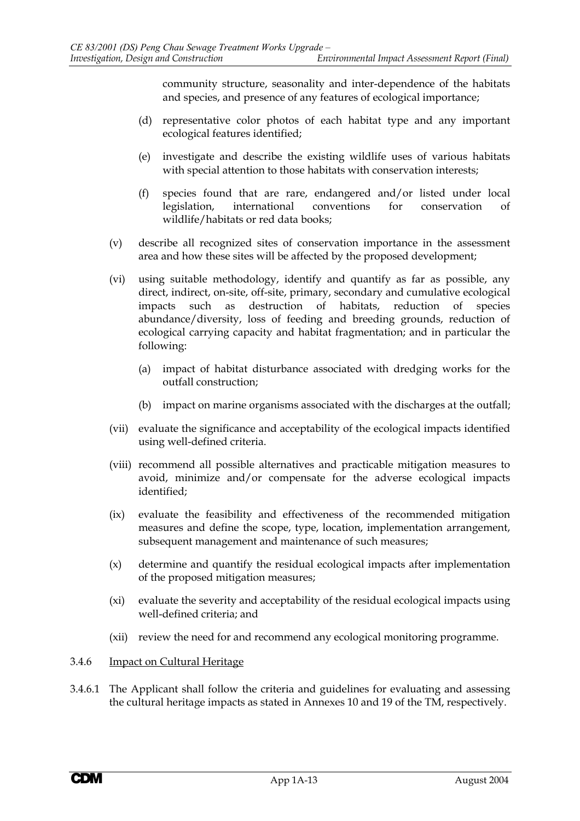community structure, seasonality and inter-dependence of the habitats and species, and presence of any features of ecological importance;

- (d) representative color photos of each habitat type and any important ecological features identified;
- (e) investigate and describe the existing wildlife uses of various habitats with special attention to those habitats with conservation interests;
- (f) species found that are rare, endangered and/or listed under local legislation, international conventions for conservation of wildlife/habitats or red data books;
- (v) describe all recognized sites of conservation importance in the assessment area and how these sites will be affected by the proposed development;
- (vi) using suitable methodology, identify and quantify as far as possible, any direct, indirect, on-site, off-site, primary, secondary and cumulative ecological impacts such as destruction of habitats, reduction of species abundance/diversity, loss of feeding and breeding grounds, reduction of ecological carrying capacity and habitat fragmentation; and in particular the following:
	- (a) impact of habitat disturbance associated with dredging works for the outfall construction;
	- (b) impact on marine organisms associated with the discharges at the outfall;
- (vii) evaluate the significance and acceptability of the ecological impacts identified using well-defined criteria.
- (viii) recommend all possible alternatives and practicable mitigation measures to avoid, minimize and/or compensate for the adverse ecological impacts identified;
- (ix) evaluate the feasibility and effectiveness of the recommended mitigation measures and define the scope, type, location, implementation arrangement, subsequent management and maintenance of such measures;
- (x) determine and quantify the residual ecological impacts after implementation of the proposed mitigation measures;
- (xi) evaluate the severity and acceptability of the residual ecological impacts using well-defined criteria; and
- (xii) review the need for and recommend any ecological monitoring programme.
- 3.4.6 Impact on Cultural Heritage
- 3.4.6.1 The Applicant shall follow the criteria and guidelines for evaluating and assessing the cultural heritage impacts as stated in Annexes 10 and 19 of the TM, respectively.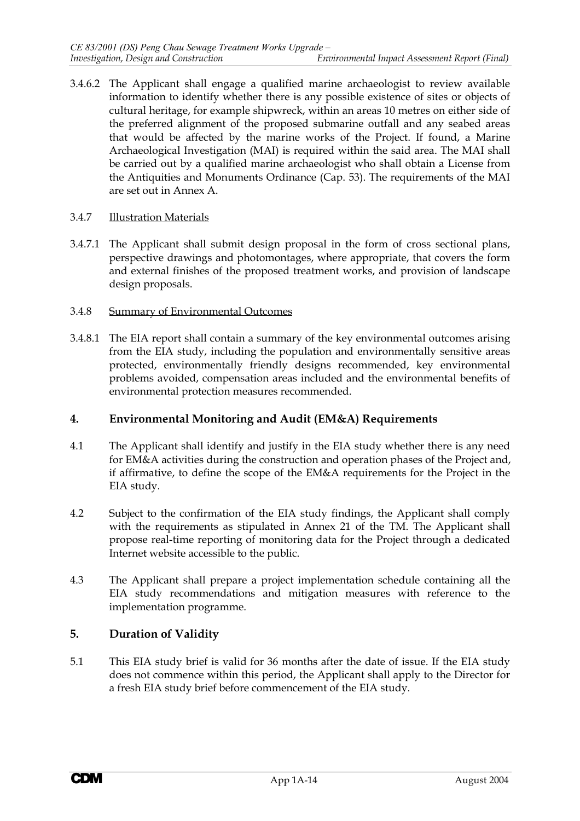3.4.6.2 The Applicant shall engage a qualified marine archaeologist to review available information to identify whether there is any possible existence of sites or objects of cultural heritage, for example shipwreck, within an areas 10 metres on either side of the preferred alignment of the proposed submarine outfall and any seabed areas that would be affected by the marine works of the Project. If found, a Marine Archaeological Investigation (MAI) is required within the said area. The MAI shall be carried out by a qualified marine archaeologist who shall obtain a License from the Antiquities and Monuments Ordinance (Cap. 53). The requirements of the MAI are set out in Annex A.

### 3.4.7 Illustration Materials

- 3.4.7.1 The Applicant shall submit design proposal in the form of cross sectional plans, perspective drawings and photomontages, where appropriate, that covers the form and external finishes of the proposed treatment works, and provision of landscape design proposals.
- 3.4.8 Summary of Environmental Outcomes
- 3.4.8.1 The EIA report shall contain a summary of the key environmental outcomes arising from the EIA study, including the population and environmentally sensitive areas protected, environmentally friendly designs recommended, key environmental problems avoided, compensation areas included and the environmental benefits of environmental protection measures recommended.

# **4. Environmental Monitoring and Audit (EM&A) Requirements**

- 4.1 The Applicant shall identify and justify in the EIA study whether there is any need for EM&A activities during the construction and operation phases of the Project and, if affirmative, to define the scope of the EM&A requirements for the Project in the EIA study.
- 4.2 Subject to the confirmation of the EIA study findings, the Applicant shall comply with the requirements as stipulated in Annex 21 of the TM. The Applicant shall propose real-time reporting of monitoring data for the Project through a dedicated Internet website accessible to the public.
- 4.3 The Applicant shall prepare a project implementation schedule containing all the EIA study recommendations and mitigation measures with reference to the implementation programme.

# **5. Duration of Validity**

5.1 This EIA study brief is valid for 36 months after the date of issue. If the EIA study does not commence within this period, the Applicant shall apply to the Director for a fresh EIA study brief before commencement of the EIA study.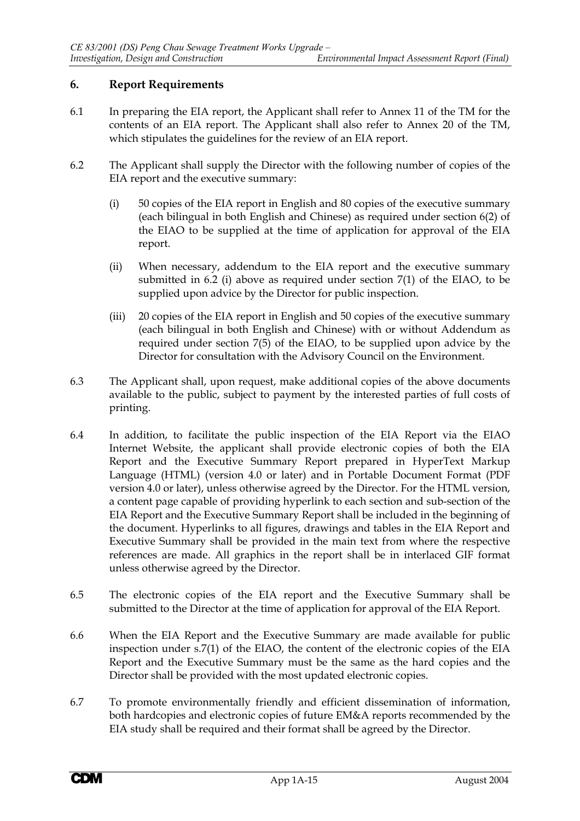# **6. Report Requirements**

- 6.1 In preparing the EIA report, the Applicant shall refer to Annex 11 of the TM for the contents of an EIA report. The Applicant shall also refer to Annex 20 of the TM, which stipulates the guidelines for the review of an EIA report.
- 6.2 The Applicant shall supply the Director with the following number of copies of the EIA report and the executive summary:
	- (i) 50 copies of the EIA report in English and 80 copies of the executive summary (each bilingual in both English and Chinese) as required under section 6(2) of the EIAO to be supplied at the time of application for approval of the EIA report.
	- (ii) When necessary, addendum to the EIA report and the executive summary submitted in 6.2 (i) above as required under section 7(1) of the EIAO, to be supplied upon advice by the Director for public inspection.
	- (iii) 20 copies of the EIA report in English and 50 copies of the executive summary (each bilingual in both English and Chinese) with or without Addendum as required under section 7(5) of the EIAO, to be supplied upon advice by the Director for consultation with the Advisory Council on the Environment.
- 6.3 The Applicant shall, upon request, make additional copies of the above documents available to the public, subject to payment by the interested parties of full costs of printing.
- 6.4 In addition, to facilitate the public inspection of the EIA Report via the EIAO Internet Website, the applicant shall provide electronic copies of both the EIA Report and the Executive Summary Report prepared in HyperText Markup Language (HTML) (version 4.0 or later) and in Portable Document Format (PDF version 4.0 or later), unless otherwise agreed by the Director. For the HTML version, a content page capable of providing hyperlink to each section and sub-section of the EIA Report and the Executive Summary Report shall be included in the beginning of the document. Hyperlinks to all figures, drawings and tables in the EIA Report and Executive Summary shall be provided in the main text from where the respective references are made. All graphics in the report shall be in interlaced GIF format unless otherwise agreed by the Director.
- 6.5 The electronic copies of the EIA report and the Executive Summary shall be submitted to the Director at the time of application for approval of the EIA Report.
- 6.6 When the EIA Report and the Executive Summary are made available for public inspection under s.7(1) of the EIAO, the content of the electronic copies of the EIA Report and the Executive Summary must be the same as the hard copies and the Director shall be provided with the most updated electronic copies.
- 6.7 To promote environmentally friendly and efficient dissemination of information, both hardcopies and electronic copies of future EM&A reports recommended by the EIA study shall be required and their format shall be agreed by the Director.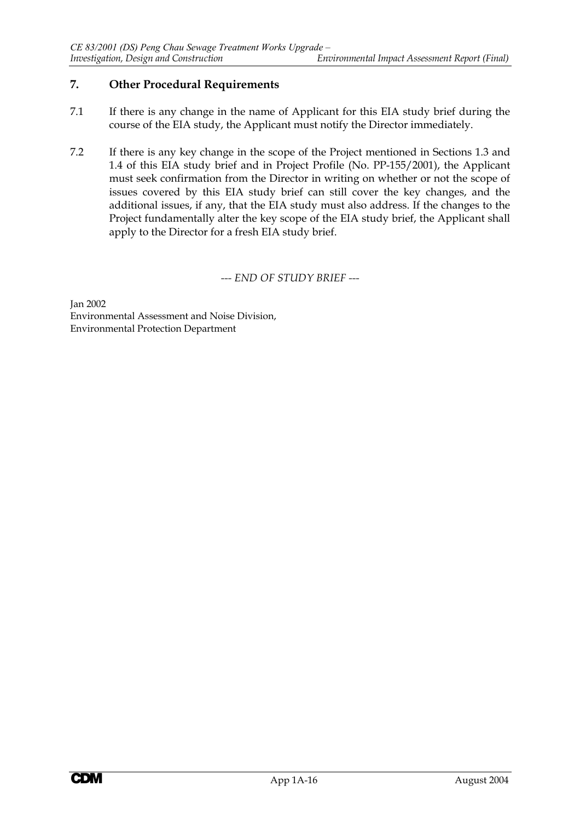# **7. Other Procedural Requirements**

- 7.1 If there is any change in the name of Applicant for this EIA study brief during the course of the EIA study, the Applicant must notify the Director immediately.
- 7.2 If there is any key change in the scope of the Project mentioned in Sections 1.3 and 1.4 of this EIA study brief and in Project Profile (No. PP-155/2001), the Applicant must seek confirmation from the Director in writing on whether or not the scope of issues covered by this EIA study brief can still cover the key changes, and the additional issues, if any, that the EIA study must also address. If the changes to the Project fundamentally alter the key scope of the EIA study brief, the Applicant shall apply to the Director for a fresh EIA study brief.

*--- END OF STUDY BRIEF ---*

Jan 2002 Environmental Assessment and Noise Division, Environmental Protection Department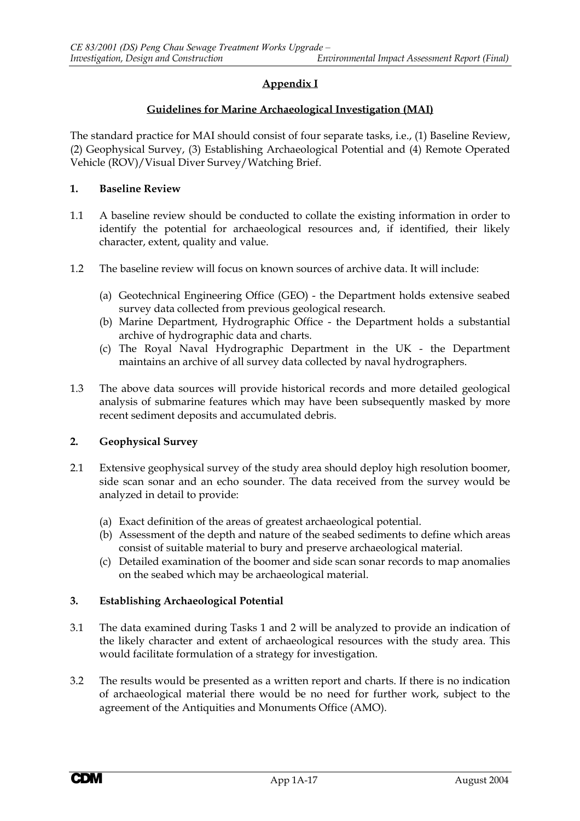# **Appendix I**

#### **Guidelines for Marine Archaeological Investigation (MAI)**

The standard practice for MAI should consist of four separate tasks, i.e., (1) Baseline Review, (2) Geophysical Survey, (3) Establishing Archaeological Potential and (4) Remote Operated Vehicle (ROV)/Visual Diver Survey/Watching Brief.

#### **1. Baseline Review**

- 1.1 A baseline review should be conducted to collate the existing information in order to identify the potential for archaeological resources and, if identified, their likely character, extent, quality and value.
- 1.2 The baseline review will focus on known sources of archive data. It will include:
	- (a) Geotechnical Engineering Office (GEO) the Department holds extensive seabed survey data collected from previous geological research.
	- (b) Marine Department, Hydrographic Office the Department holds a substantial archive of hydrographic data and charts.
	- (c) The Royal Naval Hydrographic Department in the UK the Department maintains an archive of all survey data collected by naval hydrographers.
- 1.3 The above data sources will provide historical records and more detailed geological analysis of submarine features which may have been subsequently masked by more recent sediment deposits and accumulated debris.

#### **2. Geophysical Survey**

- 2.1 Extensive geophysical survey of the study area should deploy high resolution boomer, side scan sonar and an echo sounder. The data received from the survey would be analyzed in detail to provide:
	- (a) Exact definition of the areas of greatest archaeological potential.
	- (b) Assessment of the depth and nature of the seabed sediments to define which areas consist of suitable material to bury and preserve archaeological material.
	- (c) Detailed examination of the boomer and side scan sonar records to map anomalies on the seabed which may be archaeological material.

### **3. Establishing Archaeological Potential**

- 3.1 The data examined during Tasks 1 and 2 will be analyzed to provide an indication of the likely character and extent of archaeological resources with the study area. This would facilitate formulation of a strategy for investigation.
- 3.2 The results would be presented as a written report and charts. If there is no indication of archaeological material there would be no need for further work, subject to the agreement of the Antiquities and Monuments Office (AMO).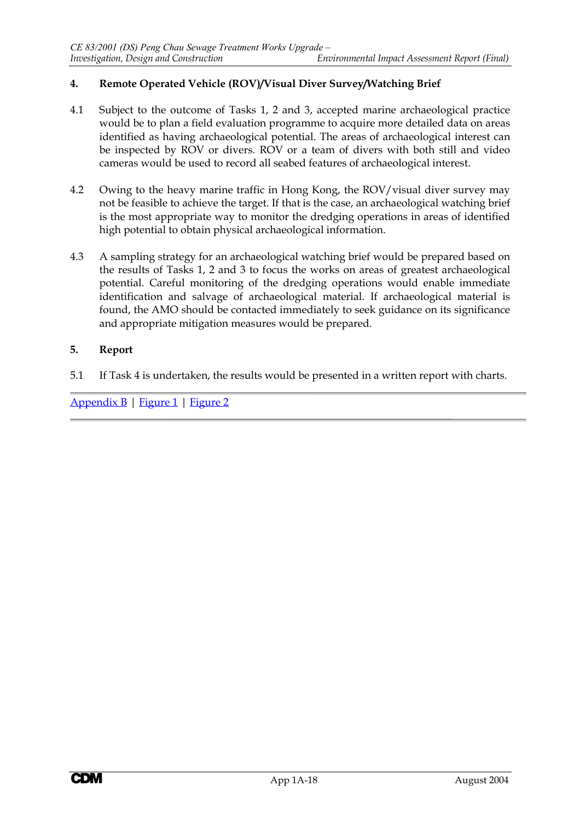# **4. Remote Operated Vehicle (ROV)/Visual Diver Survey/Watching Brief**

- 4.1 Subject to the outcome of Tasks 1, 2 and 3, accepted marine archaeological practice would be to plan a field evaluation programme to acquire more detailed data on areas identified as having archaeological potential. The areas of archaeological interest can be inspected by ROV or divers. ROV or a team of divers with both still and video cameras would be used to record all seabed features of archaeological interest.
- 4.2 Owing to the heavy marine traffic in Hong Kong, the ROV/visual diver survey may not be feasible to achieve the target. If that is the case, an archaeological watching brief is the most appropriate way to monitor the dredging operations in areas of identified high potential to obtain physical archaeological information.
- 4.3 A sampling strategy for an archaeological watching brief would be prepared based on the results of Tasks 1, 2 and 3 to focus the works on areas of greatest archaeological potential. Careful monitoring of the dredging operations would enable immediate identification and salvage of archaeological material. If archaeological material is found, the AMO should be contacted immediately to seek guidance on its significance and appropriate mitigation measures would be prepared.

# **5. Report**

5.1 If Task 4 is undertaken, the results would be presented in a written report with charts.

Appendix B | Figure 1 | Figure 2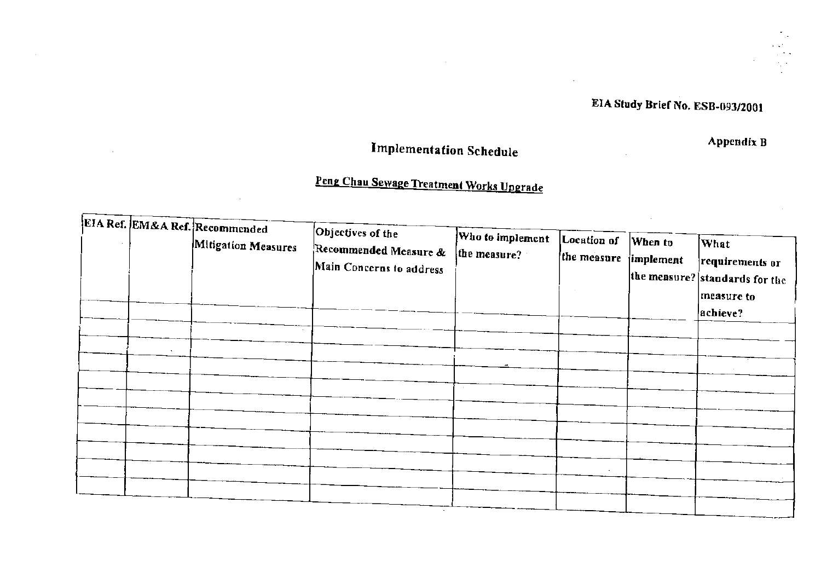# EIA Study Brief No. ESB-093/2001

Appendix B

# **Implementation Schedule**

# Peng Chau Sewage Treatment Works Upgrade

| EIA Ref. EM&A Ref. Recommended | Mitigation Measures | Objectives of the<br>Recommended Measure &<br>Main Concerns to address | Who to implement<br>the measure? | Location of<br>the measure | When to<br>implement | What<br>requirements or<br>the measure? standards for the |
|--------------------------------|---------------------|------------------------------------------------------------------------|----------------------------------|----------------------------|----------------------|-----------------------------------------------------------|
|                                |                     |                                                                        |                                  |                            |                      | measure to<br>achieve?                                    |
|                                |                     |                                                                        |                                  |                            |                      |                                                           |
|                                |                     |                                                                        |                                  |                            |                      |                                                           |
|                                |                     |                                                                        |                                  |                            |                      |                                                           |
|                                |                     |                                                                        |                                  |                            |                      |                                                           |
|                                |                     |                                                                        |                                  |                            |                      |                                                           |
|                                |                     |                                                                        |                                  |                            |                      |                                                           |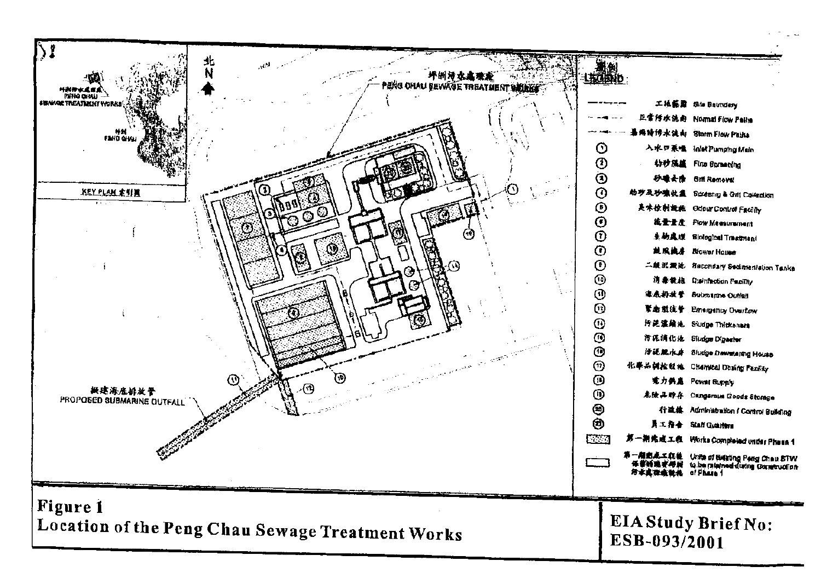